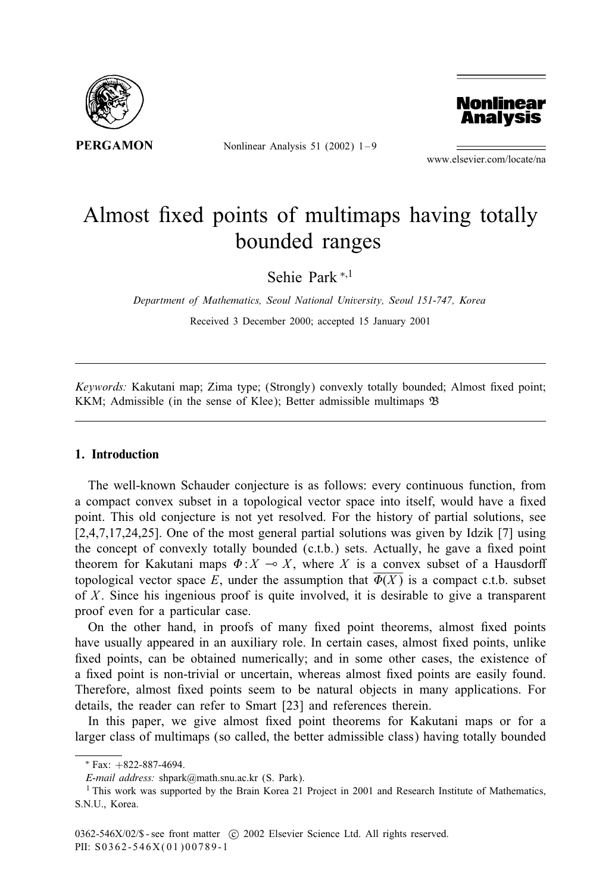

Nonlinear Analysis 51 (2002)  $1-9$ 



www.elsevier.com/locate/na

# Almost fixed points of multimaps having totally bounded ranges

Sehie Park <sup>∗</sup>;<sup>1</sup>

*Department of Mathematics, Seoul National University, Seoul 151-747, Korea*

Received 3 December 2000; accepted 15 January 2001

*Keywords:* Kakutani map; Zima type; (Strongly) convexly totally bounded; Almost fixed point; KKM; Admissible (in the sense of Klee); Better admissible multimaps B

## 1. Introduction

The well-known Schauder conjecture is as follows: every continuous function, from a compact convex subset in a topological vector space into itself, would have a fixed point. This old conjecture is not yet resolved. For the history of partial solutions, see [2,4,7,17,24,25]. One of the most general partial solutions was given by Idzik [7] using the concept of convexly totally bounded  $(c.t.b.)$  sets. Actually, he gave a fixed point theorem for Kakutani maps  $\Phi: X \to X$ , where X is a convex subset of a Hausdorff topological vector space E, under the assumption that  $\Phi(X)$  is a compact c.t.b. subset of X. Since his ingenious proof is quite involved, it is desirable to give a transparent proof even for a particular case.

On the other hand, in proofs of many fixed point theorems, almost fixed points have usually appeared in an auxiliary role. In certain cases, almost fixed points, unlike fixed points, can be obtained numerically; and in some other cases, the existence of a fixed point is non-trivial or uncertain, whereas almost fixed points are easily found. Therefore, almost fixed points seem to be natural objects in many applications. For details, the reader can refer to Smart [23] and references therein.

In this paper, we give almost fixed point theorems for Kakutani maps or for a larger class of multimaps (so called, the better admissible class) having totally bounded

<sup>∗</sup> Fax: +822-887-4694.

*E-mail address:* shpark@math.snu.ac.kr (S. Park).

<sup>&</sup>lt;sup>1</sup> This work was supported by the Brain Korea 21 Project in 2001 and Research Institute of Mathematics, S.N.U., Korea.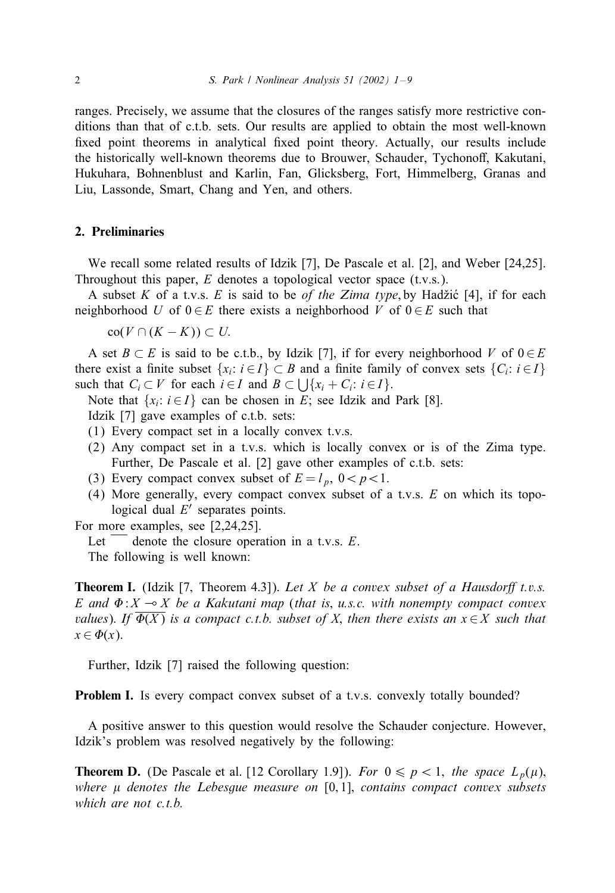ranges. Precisely, we assume that the closures of the ranges satisfy more restrictive conditions than that of c.t.b. sets. Our results are applied to obtain the most well-known fixed point theorems in analytical fixed point theory. Actually, our results include the historically well-known theorems due to Brouwer, Schauder, Tychonoff, Kakutani, Hukuhara, Bohnenblust and Karlin, Fan, Glicksberg, Fort, Himmelberg, Granas and Liu, Lassonde, Smart, Chang and Yen, and others.

### 2. Preliminaries

We recall some related results of Idzik [7], De Pascale et al. [2], and Weber [24,25]. Throughout this paper,  $E$  denotes a topological vector space (t.v.s.).

A subset K of a t.v.s. E is said to be *of the Zima type*, by Hadžić [4], if for each neighborhood U of  $0 \in E$  there exists a neighborhood V of  $0 \in E$  such that

 $co(V \cap (K - K)) \subset U.$ 

A set  $B \subset E$  is said to be c.t.b., by Idzik [7], if for every neighborhood V of  $0 \in E$ there exist a finite subset  $\{x_i: i \in I\} \subset B$  and a finite family of convex sets  $\{C_i: i \in I\}$ such that  $C_i \subset V$  for each  $i \in I$  and  $B \subset \bigcup \{x_i + C_i : i \in I\}.$ 

Note that  $\{x_i: i \in I\}$  can be chosen in E; see Idzik and Park [8].

Idzik [7] gave examples of c.t.b. sets:

- (1) Every compact set in a locally convex t.v.s.
- (2) Any compact set in a t.v.s. which is locally convex or is of the Zima type. Further, De Pascale et al. [2] gave other examples of c.t.b. sets:
- (3) Every compact convex subset of  $E = l_p$ ,  $0 < p < 1$ .
- (4) More generally, every compact convex subset of a t.v.s. E on which its topological dual  $E'$  separates points.

For more examples, see [2,24,25].

Let  $\overline{\phantom{a}}$  denote the closure operation in a t.v.s. E.

The following is well known:

**Theorem I.** (Idzik [7, Theorem 4.3]). Let X be a convex subset of a Hausdorff t.v.s.  $E$  and  $\Phi$ :  $X \to X$  be a Kakutani map (that is, u.s.c. with nonempty compact convex  $values$ ). If  $\Phi(X)$  is a compact c.t.b. subset of X, then there exists an  $x \in X$  such that  $x \in \Phi(x)$ .

Further, Idzik [7] raised the following question:

**Problem I.** Is every compact convex subset of a t.v.s. convexly totally bounded?

A positive answer to this question would resolve the Schauder conjecture. However, Idzik's problem was resolved negatively by the following:

**Theorem D.** (De Pascale et al. [12 Corollary 1.9]). *For*  $0 \leq p < 1$ , *the space*  $L_p(\mu)$ , *where denotes the Lebesgue measure on* [0; 1]; *contains compact convex subsets which are not c.t.b.*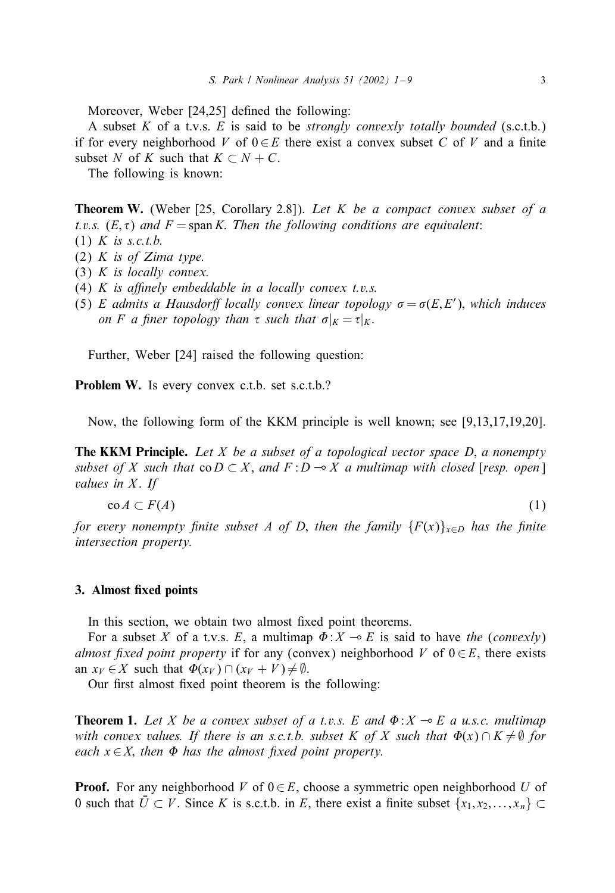Moreover, Weber  $[24,25]$  defined the following:

A subset K of a t.v.s. E is said to be *strongly convexly totally bounded* (s.c.t.b.) if for every neighborhood V of  $0 \in E$  there exist a convex subset C of V and a finite subset N of K such that  $K \subset N + C$ .

The following is known:

Theorem W. (Weber [25; Corollary 2:8]): *Let* K *be a compact convex subset of a t.v.s.*  $(E, \tau)$  *and*  $F = \text{span } K$ . *Then the following conditions are equivalent:* 

- (1) K *is s.c.t.b.*
- (2) K *is of Zima type.*
- (3) K *is locally convex.*
- (4)  $K$  *is affinely embeddable in a locally convex t.v.s.*
- (5) E admits a Hausdorff locally convex linear topology  $\sigma = \sigma(E, E')$ , which induces *on F a* finer topology than  $\tau$  *such that*  $\sigma|_K = \tau|_K$ .

Further, Weber [24] raised the following question:

Problem W. Is every convex c.t.b. set s.c.t.b.?

Now, the following form of the KKM principle is well known; see [9,13,17,19,20].

The KKM Principle. *Let* X *be a subset of a topological vector space D*; *a nonempty subset of* X *such that*  $co D \subset X$ , and  $F : D \rightarrow X$  a multimap with closed [resp. open] *values in X. If* 

$$
\operatorname{co} A \subset F(A) \tag{1}
$$

*for every nonempty finite subset* A *of* D, *then the family*  ${F(x)}_{x\in D}$  *has the finite intersection property.*

### 3. Almost fixed points

In this section, we obtain two almost fixed point theorems.

For a subset X of a t.v.s. E, a multimap  $\Phi: X \to E$  is said to have *the* (*convexly*) *almost fixed point property* if for any (convex) neighborhood V of  $0 \in E$ , there exists an  $x_V \in X$  such that  $\Phi(x_V) \cap (x_V + V) \neq \emptyset$ .

Our first almost fixed point theorem is the following:

**Theorem 1.** Let X be a convex subset of a t.v.s. E and  $\Phi$ :  $X \to E$  a u.s.c. multimap  $with \ convex \ values.$  *If there is an s.c.t.b. subset K of X such that*  $\Phi(x) \cap K \neq \emptyset$  *for each*  $x \in X$ , *then*  $\Phi$  *has the almost fixed point property.* 

**Proof.** For any neighborhood V of  $0 \in E$ , choose a symmetric open neighborhood U of 0 such that  $\overline{U} \subset V$ . Since K is s.c.t.b. in E, there exist a finite subset  $\{x_1, x_2, \ldots, x_n\} \subset$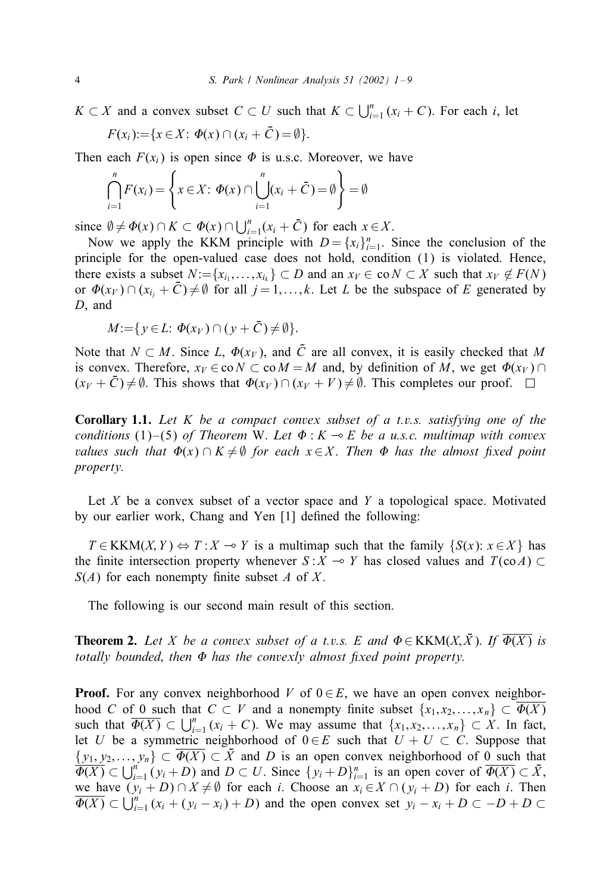$K \subset X$  and a convex subset  $C \subset U$  such that  $K \subset \bigcup_{i=1}^{n} (x_i + C)$ . For each i, let

$$
F(x_i) := \{x \in X: \Phi(x) \cap (x_i + \overline{C}) = \emptyset\}.
$$

Then each  $F(x_i)$  is open since  $\Phi$  is u.s.c. Moreover, we have

$$
\bigcap_{i=1}^{n} F(x_i) = \left\{ x \in X \colon \Phi(x) \cap \bigcup_{i=1}^{n} (x_i + \bar{C}) = \emptyset \right\} = \emptyset
$$

since  $\emptyset \neq \Phi(x) \cap K \subset \Phi(x) \cap \bigcup_{i=1}^{n} (x_i + \overline{C})$  for each  $x \in X$ .

Now we apply the KKM principle with  $D = \{x_i\}_{i=1}^n$ . Since the conclusion of the principle for the open-valued case does not hold, condition (1) is violated. Hence, there exists a subset  $N:=\{x_{i_1},...,x_{i_k}\}\subset D$  and an  $x_V\in \text{co }N\subset X$  such that  $x_V\notin F(N)$ or  $\Phi(x_V) \cap (x_{i_j} + \bar{C}) \neq \emptyset$  for all  $j = 1, ..., k$ . Let L be the subspace of E generated by D, and

$$
M:=\{y\in L:\,\Phi(x_V)\cap(y+\bar{C})\neq\emptyset\}.
$$

Note that  $N \subset M$ . Since L,  $\Phi(x_V)$ , and  $\overline{C}$  are all convex, it is easily checked that M is convex. Therefore,  $x_V \in \text{co } N \subset \text{co } M = M$  and, by definition of M, we get  $\Phi(x_V) \cap$  $(x_V + \bar{C}) \neq \emptyset$ . This shows that  $\Phi(x_V) \cap (x_V + V) \neq \emptyset$ . This completes our proof.

Corollary 1.1. *Let* K *be a compact convex subset of a t.v.s. satisfying one of the conditions* (1)–(5) *of Theorem W. Let*  $\Phi$  :  $K \rightarrow E$  *be a u.s.c. multimap with convex*  $value$  such that  $\Phi(x) \cap K \neq \emptyset$  for each  $x \in X$ . Then  $\Phi$  has the almost fixed point *property.*

Let X be a convex subset of a vector space and Y a topological space. Motivated by our earlier work, Chang and Yen [1] defined the following:

 $T \in KKM(X, Y) \Leftrightarrow T : X \multimap Y$  is a multimap such that the family  $\{S(x): x \in X\}$  has the finite intersection property whenever  $S: X \to Y$  has closed values and  $T(\text{co }A) \subset Y$  $S(A)$  for each nonempty finite subset A of X.

The following is our second main result of this section.

**Theorem 2.** Let X be a convex subset of a t.v.s. E and  $\Phi \in KKM(X, \bar{X})$ . If  $\overline{\Phi(X)}$  is totally bounded, then  $\Phi$  has the convexly almost fixed point property.

**Proof.** For any convex neighborhood V of  $0 \in E$ , we have an open convex neighborhood C of 0 such that  $C \subset V$  and a nonempty finite subset  $\{x_1, x_2, \ldots, x_n\} \subset \Phi(X)$ such that  $\overline{\Phi(X)} \subset \bigcup_{i=1}^n (x_i + C)$ . We may assume that  $\{x_1, x_2, \ldots, x_n\} \subset X$ . In fact, let U be a symmetric neighborhood of  $0 \in E$  such that  $U + U \subset C$ . Suppose that  $\{y_1, y_2,..., y_n\} \subset \overline{\Phi(X)} \subset \overline{X}$  and D is an open convex neighborhood of 0 such that  $\overline{\Phi(X)} \subset \bigcup_{i=1}^n (y_i + D)$  and  $D \subset U$ . Since  $\{y_i + D\}_{i=1}^n$  is an open cover of  $\overline{\Phi(X)} \subset \overline{X}$ , we have  $(y_i + D) \cap X \neq \emptyset$  for each *i*. Choose an  $x_i \in X \cap (y_i + D)$  for each *i*. Then  $\overline{\Phi(X)} \subset \bigcup_{i=1}^{n} (x_i + (y_i - x_i) + D)$  and the open convex set  $y_i - x_i + D \subset -D + D \subset$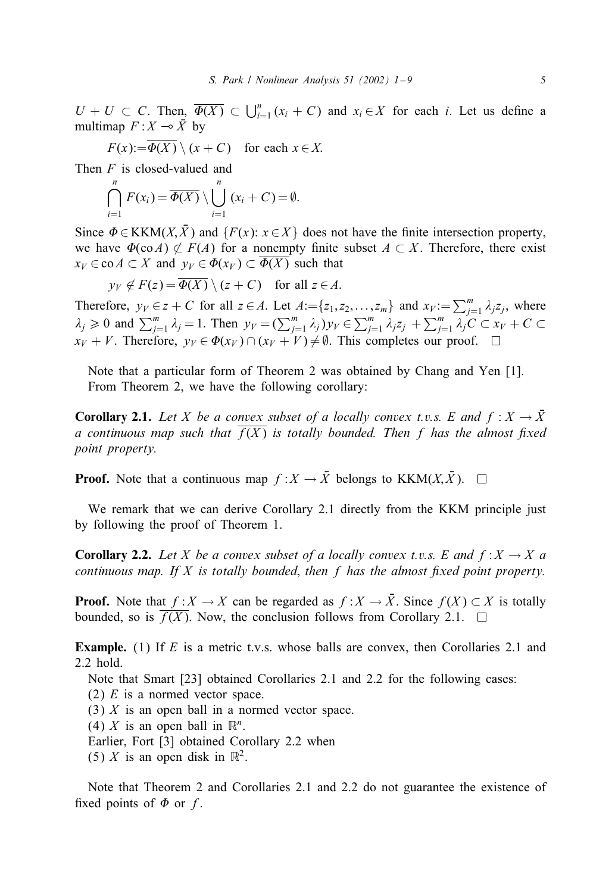$U + U \subset C$ . Then,  $\overline{\Phi(X)} \subset \bigcup_{i=1}^{n} (x_i + C)$  and  $x_i \in X$  for each i. Let us define a multimap  $F: X \rightarrow \overline{X}$  by

$$
F(x) := \overline{\Phi(X)} \setminus (x + C) \quad \text{for each } x \in X.
$$

Then F is closed-valued and

$$
\bigcap_{i=1}^n F(x_i) = \overline{\Phi(X)} \setminus \bigcup_{i=1}^n (x_i + C) = \emptyset.
$$

Since  $\Phi \in KKM(X, \bar{X})$  and  $\{F(x): x \in X\}$  does not have the finite intersection property, we have  $\Phi(\text{co }A) \not\subset F(A)$  for a nonempty finite subset  $A \subset X$ . Therefore, there exist  $x_V \in \text{co } A \subset X$  and  $y_V \in \Phi(x_V) \subset \Phi(X)$  such that

$$
y_V \notin F(z) = \overline{\Phi(X)} \setminus (z + C)
$$
 for all  $z \in A$ .

Therefore,  $y_V \in z + C$  for all  $z \in A$ . Let  $A := \{z_1, z_2, \ldots, z_m\}$  and  $x_V := \sum_{j=1}^m \lambda_j z_j$ , where  $\lambda_j \geq 0$  and  $\sum_{j=1}^m \lambda_j = 1$ . Then  $y_V = (\sum_{j=1}^m \lambda_j) y_V \in \sum_{j=1}^m \lambda_j z_j + \sum_{j=1}^m \lambda_j C \subset x_V + C$  $x_V + V$ . Therefore,  $y_V \in \Phi(x_V) \cap (x_V + V) \neq \emptyset$ . This completes our proof.

Note that a particular form of Theorem 2 was obtained by Chang and Yen [1]. From Theorem 2, we have the following corollary:

**Corollary 2.1.** Let X be a convex subset of a locally convex t.v.s. E and  $f: X \to \overline{X}$ *a continuous map such that*  $\overline{f(X)}$  *is totally bounded. Then* f *has the almost fixed point property.*

**Proof.** Note that a continuous map  $f : X \to \overline{X}$  belongs to KKM $(X, \overline{X})$ .  $\Box$ 

We remark that we can derive Corollary 2.1 directly from the KKM principle just by following the proof of Theorem 1.

**Corollary 2.2.** Let X be a convex subset of a locally convex t.v.s. E and  $f: X \to X$  a *continuous map. If* X *is totally bounded, then* f *has the almost fixed point property.* 

**Proof.** Note that  $f : X \to X$  can be regarded as  $f : X \to \overline{X}$ . Since  $f(X) \subset X$  is totally bounded, so is  $\overline{f(X)}$ . Now, the conclusion follows from Corollary 2.1.  $\Box$ 

**Example.** (1) If  $E$  is a metric t.v.s. whose balls are convex, then Corollaries 2.1 and 2.2 hold.

Note that Smart [23] obtained Corollaries 2.1 and 2.2 for the following cases:

(2)  $E$  is a normed vector space.

(3)  $X$  is an open ball in a normed vector space.

(4) X is an open ball in  $\mathbb{R}^n$ .

Earlier, Fort [3] obtained Corollary 2.2 when

(5) X is an open disk in  $\mathbb{R}^2$ .

Note that Theorem 2 and Corollaries 2.1 and 2.2 do not guarantee the existence of fixed points of  $\Phi$  or f.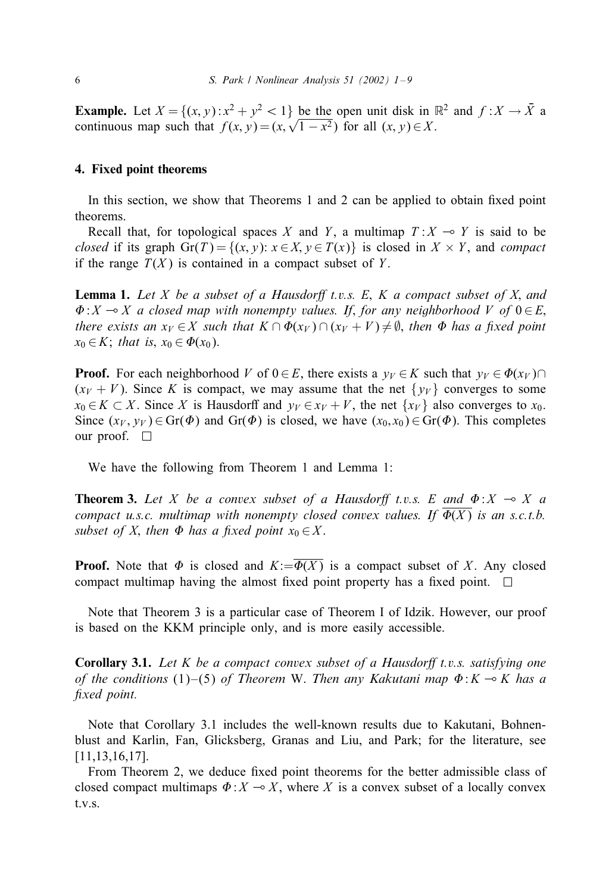**Example.** Let  $X = \{(x, y): x^2 + y^2 < 1\}$  be the open unit disk in  $\mathbb{R}^2$  and  $f: X \to \overline{X}$  a **Example.** Let  $X = \{(x, y): x^2 + y^2 \le 1\}$  be the open unit disk in a continuous map such that  $f(x, y) = (x, \sqrt{1 - x^2})$  for all  $(x, y) \in X$ .

#### 4. Fixed point theorems

In this section, we show that Theorems  $1$  and  $2$  can be applied to obtain fixed point theorems.

Recall that, for topological spaces X and Y, a multimap  $T : X \multimap Y$  is said to be *closed* if its graph  $Gr(T) = \{(x, y): x \in X, y \in T(x)\}$  is closed in  $X \times Y$ , and *compact* if the range  $T(X)$  is contained in a compact subset of Y.

**Lemma 1.** Let *X* be a subset of a Hausdorff t.v.s. E, *K* a compact subset of *X*, and  $\Phi: X \to X$  a closed map with nonempty values. If, for any neighborhood V of  $0 \in E$ , *there exists an*  $x_V \in X$  such that  $K \cap \Phi(x_V) \cap (x_V + V) \neq \emptyset$ , then  $\Phi$  has a fixed point  $x_0 \in K$ ; that is,  $x_0 \in \Phi(x_0)$ .

**Proof.** For each neighborhood V of  $0 \in E$ , there exists a  $y_V \in K$  such that  $y_V \in \Phi(x_V) \cap$  $(x_V + V)$ . Since K is compact, we may assume that the net  $\{y_V\}$  converges to some  $x_0 \in K \subset X$ . Since X is Hausdorff and  $y_V \in x_V + V$ , the net  $\{x_V\}$  also converges to  $x_0$ . Since  $(x_V, y_V) \in Gr(\Phi)$  and  $Gr(\Phi)$  is closed, we have  $(x_0, x_0) \in Gr(\Phi)$ . This completes our proof.  $\square$ 

We have the following from Theorem 1 and Lemma 1:

**Theorem 3.** Let X be a convex subset of a Hausdorff t.v.s. E and  $\Phi$ :  $X \to X$  a *compact u.s.c. multimap with nonempty closed convex values. If*  $\Phi(X)$  *is an s.c.t.b.*  $subset$  of X, then  $\Phi$  has a fixed point  $x_0 \in X$ .

**Proof.** Note that  $\Phi$  is closed and  $K:=\Phi(X)$  is a compact subset of X. Any closed compact multimap having the almost fixed point property has a fixed point.  $\Box$ 

Note that Theorem 3 is a particular case of Theorem I of Idzik. However, our proof is based on the KKM principle only, and is more easily accessible.

**Corollary 3.1.** Let K be a compact convex subset of a Hausdorff t.v.s. satisfying one *of the conditions* (1)–(5) *of Theorem* W. *Then any Kakutani map*  $\Phi: K \to K$  *has a* fixed point.

Note that Corollary 3.1 includes the well-known results due to Kakutani, Bohnenblust and Karlin, Fan, Glicksberg, Granas and Liu, and Park; for the literature, see [11,13,16,17].

From Theorem 2, we deduce fixed point theorems for the better admissible class of closed compact multimaps  $\Phi: X \to X$ , where X is a convex subset of a locally convex t.v.s.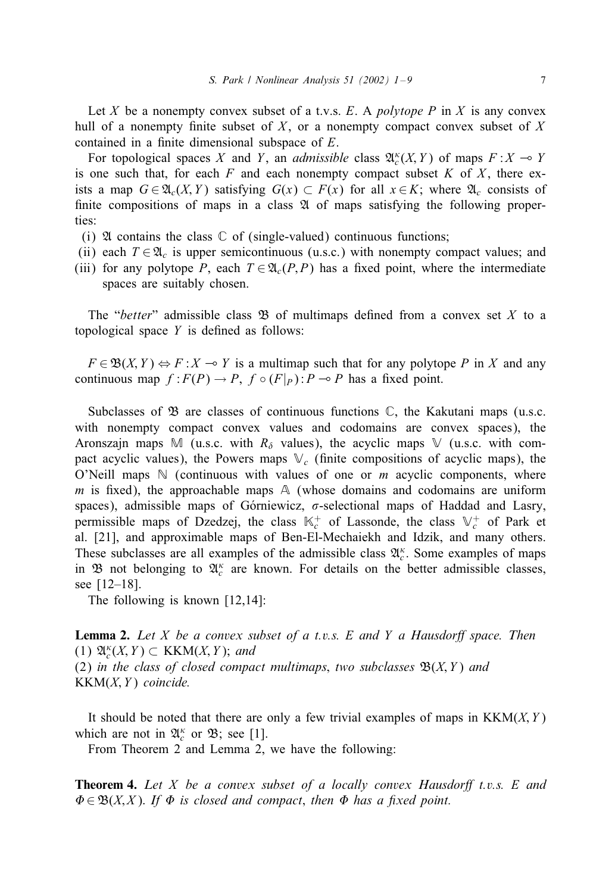Let X be a nonempty convex subset of a t.v.s. E. A *polytope* P in X is any convex hull of a nonempty finite subset of  $X$ , or a nonempty compact convex subset of  $X$ contained in a finite dimensional subspace of  $E$ .

For topological spaces X and Y, an *admissible* class  $\mathfrak{A}_{c}^{\kappa}(X, Y)$  of maps  $F: X \to Y$ is one such that, for each  $F$  and each nonempty compact subset  $K$  of  $X$ , there exists a map  $G \in \mathfrak{A}_{c}(X, Y)$  satisfying  $G(x) \subset F(x)$  for all  $x \in K$ ; where  $\mathfrak{A}_{c}$  consists of finite compositions of maps in a class  $\mathfrak A$  of maps satisfying the following properties:

- (i)  $\mathfrak A$  contains the class  $\mathbb C$  of (single-valued) continuous functions;
- (ii) each  $T \in \mathfrak{A}_c$  is upper semicontinuous (u.s.c.) with nonempty compact values; and
- (iii) for any polytope P, each  $T \in \mathfrak{A}_c(P, P)$  has a fixed point, where the intermediate spaces are suitably chosen.

The "*better*" admissible class  $\mathfrak{B}$  of multimaps defined from a convex set X to a topological space  $Y$  is defined as follows:

 $F \in \mathfrak{B}(X, Y) \Leftrightarrow F : X \multimap Y$  is a multimap such that for any polytope P in X and any continuous map  $f : F(P) \to P$ ,  $f \circ (F|_P) : P \to P$  has a fixed point.

Subclasses of  $\mathfrak{B}$  are classes of continuous functions  $\mathbb{C}$ , the Kakutani maps (u.s.c. with nonempty compact convex values and codomains are convex spaces), the Aronszajn maps M (u.s.c. with  $R_{\delta}$  values), the acyclic maps V (u.s.c. with compact acyclic values), the Powers maps  $\mathbb{V}_c$  (finite compositions of acyclic maps), the O'Neill maps  $\mathbb N$  (continuous with values of one or m acyclic components, where m is fixed), the approachable maps  $A$  (whose domains and codomains are uniform spaces), admissible maps of Górniewicz,  $\sigma$ -selectional maps of Haddad and Lasry, permissible maps of Dzedzej, the class  $\mathbb{K}_c^+$  of Lassonde, the class  $\mathbb{V}_c^+$  of Park et al. [21], and approximable maps of Ben-El-Mechaiekh and Idzik, and many others. These subclasses are all examples of the admissible class  $\mathfrak{A}_{c}^{\kappa}$ . Some examples of maps in  $\mathfrak B$  not belonging to  $\mathfrak A_c^{\kappa}$  are known. For details on the better admissible classes, see [12–18].

The following is known [12,14]:

**Lemma 2.** Let *X* be a convex subset of a t.v.s. E and *Y* a Hausdorff space. Then  $(1)$   $\mathfrak{A}_{c}^{\kappa}(X, Y) \subset$  KKM $(X, Y)$ ; *and* (2) *in the class of closed compact multimaps*, *two subclasses*  $\mathfrak{B}(X, Y)$  *and* KKM(X; Y ) *coincide.*

It should be noted that there are only a few trivial examples of maps in  $KKM(X, Y)$ which are not in  $\mathfrak{A}_{c}^{\kappa}$  or  $\mathfrak{B}$ ; see [1].

From Theorem 2 and Lemma 2, we have the following:

**Theorem 4.** Let X be a convex subset of a locally convex Hausdorff t.v.s. E and  $\Phi \in \mathfrak{B}(X,X)$ . If  $\Phi$  is closed and compact, then  $\Phi$  has a fixed point.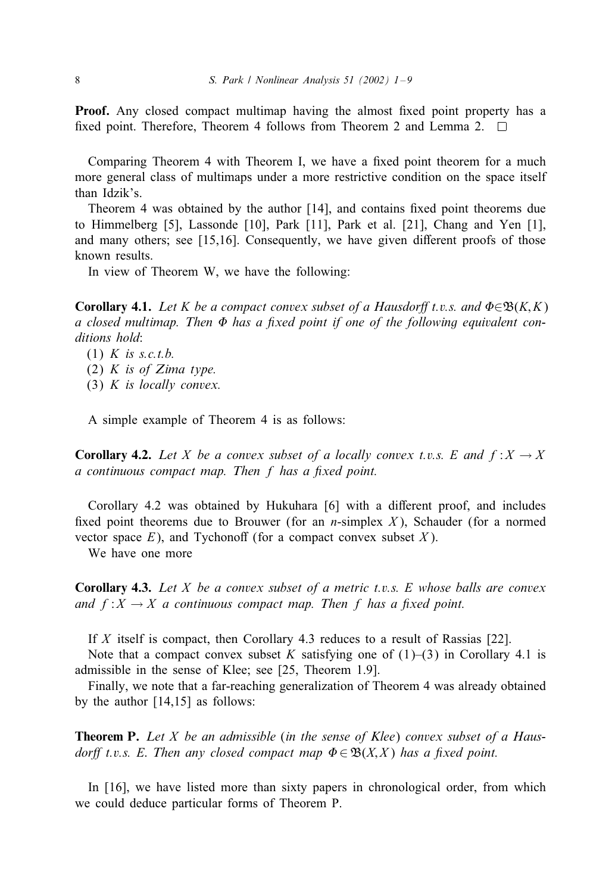**Proof.** Any closed compact multimap having the almost fixed point property has a fixed point. Therefore, Theorem 4 follows from Theorem 2 and Lemma 2.  $\square$ 

Comparing Theorem 4 with Theorem I, we have a fixed point theorem for a much more general class of multimaps under a more restrictive condition on the space itself than Idzik's.

Theorem 4 was obtained by the author  $[14]$ , and contains fixed point theorems due to Himmelberg [5], Lassonde [10], Park [11], Park et al. [21], Chang and Yen [1], and many others; see  $[15,16]$ . Consequently, we have given different proofs of those known results.

In view of Theorem W, we have the following:

**Corollary 4.1.** Let K be a compact convex subset of a Hausdorff t.v.s. and  $\Phi \in \mathfrak{B}(K,K)$ a closed multimap. Then  $\Phi$  has a fixed point if one of the following equivalent con*ditions hold*:

(1) K *is s.c.t.b.* (2) K *is of Zima type.* (3) K *is locally convex.*

A simple example of Theorem 4 is as follows:

**Corollary 4.2.** Let X be a convex subset of a locally convex t.v.s. E and  $f: X \to X$ *a continuous compact map. Then* f has a fixed point.

Corollary 4.2 was obtained by Hukuhara  $[6]$  with a different proof, and includes fixed point theorems due to Brouwer (for an *n*-simplex X), Schauder (for a normed vector space  $E$ ), and Tychonoff (for a compact convex subset  $X$ ).

We have one more

Corollary 4.3. *Let* X *be a convex subset of a metric t.v.s.* E *whose balls are convex and*  $f: X \to X$  *a continuous compact map. Then* f *has a fixed point.* 

If X itself is compact, then Corollary 4.3 reduces to a result of Rassias [22].

Note that a compact convex subset K satisfying one of  $(1)$ – $(3)$  in Corollary 4.1 is admissible in the sense of Klee; see [25, Theorem 1.9].

Finally, we note that a far-reaching generalization of Theorem 4 was already obtained by the author [14,15] as follows:

Theorem P. *Let* X *be an admissible* (*in the sense of Klee*) *convex subset of a Hausdorff t.v.s.* E. Then any closed compact map  $\Phi \in \mathfrak{B}(X,X)$  has a fixed point.

In [16], we have listed more than sixty papers in chronological order, from which we could deduce particular forms of Theorem P.